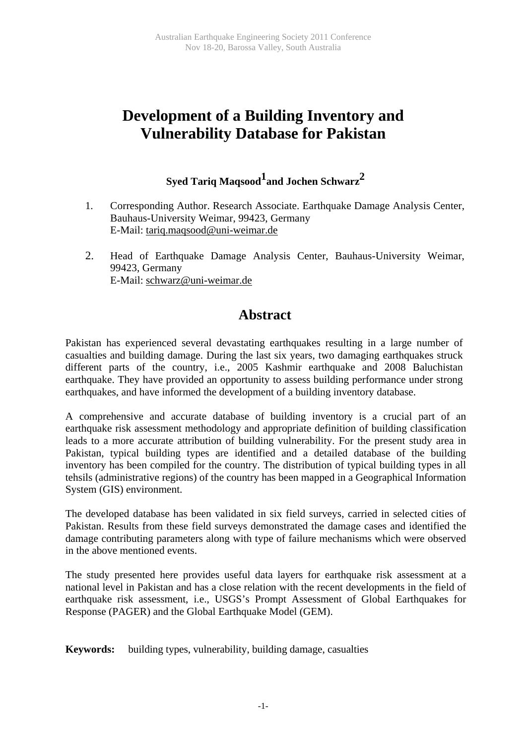# **Development of a Building Inventory and Vulnerability Database for Pakistan**

## **Syed Tariq Maqsood1and Jochen Schwarz 2**

- 1. Corresponding Author. Research Associate. Earthquake Damage Analysis Center, Bauhaus-University Weimar, 99423, Germany E-Mail: [tariq.maqsood@uni-weimar.de](mailto:tariq.maqsood@uni-weimar.de)
- 2. Head of Earthquake Damage Analysis Center, Bauhaus-University Weimar, 99423, Germany E-Mail: [schwarz@uni-weimar.de](mailto:schwarz@uni-weimar.de)

## **Abstract**

Pakistan has experienced several devastating earthquakes resulting in a large number of casualties and building damage. During the last six years, two damaging earthquakes struck different parts of the country, i.e., 2005 Kashmir earthquake and 2008 Baluchistan earthquake. They have provided an opportunity to assess building performance under strong earthquakes, and have informed the development of a building inventory database.

A comprehensive and accurate database of building inventory is a crucial part of an earthquake risk assessment methodology and appropriate definition of building classification leads to a more accurate attribution of building vulnerability. For the present study area in Pakistan, typical building types are identified and a detailed database of the building inventory has been compiled for the country. The distribution of typical building types in all tehsils (administrative regions) of the country has been mapped in a Geographical Information System (GIS) environment.

The developed database has been validated in six field surveys, carried in selected cities of Pakistan. Results from these field surveys demonstrated the damage cases and identified the damage contributing parameters along with type of failure mechanisms which were observed in the above mentioned events.

The study presented here provides useful data layers for earthquake risk assessment at a national level in Pakistan and has a close relation with the recent developments in the field of earthquake risk assessment, i.e., USGS's Prompt Assessment of Global Earthquakes for Response (PAGER) and the Global Earthquake Model (GEM).

**Keywords:** building types, vulnerability, building damage, casualties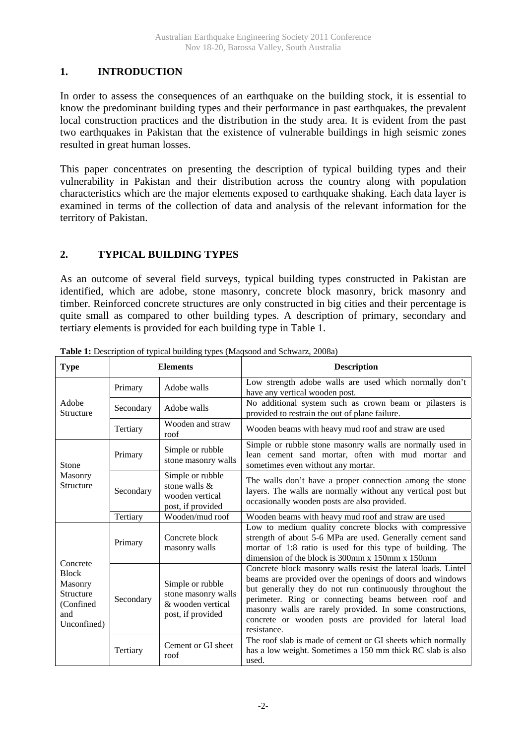### **1. INTRODUCTION**

In order to assess the consequences of an earthquake on the building stock, it is essential to know the predominant building types and their performance in past earthquakes, the prevalent local construction practices and the distribution in the study area. It is evident from the past two earthquakes in Pakistan that the existence of vulnerable buildings in high seismic zones resulted in great human losses.

This paper concentrates on presenting the description of typical building types and their vulnerability in Pakistan and their distribution across the country along with population characteristics which are the major elements exposed to earthquake shaking. Each data layer is examined in terms of the collection of data and analysis of the relevant information for the territory of Pakistan.

## **2. TYPICAL BUILDING TYPES**

As an outcome of several field surveys, typical building types constructed in Pakistan are identified, which are adobe, stone masonry, concrete block masonry, brick masonry and timber. Reinforced concrete structures are only constructed in big cities and their percentage is quite small as compared to other building types. A description of primary, secondary and tertiary elements is provided for each building type in Table 1.

| <b>Type</b>                                                                         |           | <b>Elements</b>                                                                   | <b>Description</b>                                                                                                                                                                                                                                                                                                                                                                    |  |  |  |
|-------------------------------------------------------------------------------------|-----------|-----------------------------------------------------------------------------------|---------------------------------------------------------------------------------------------------------------------------------------------------------------------------------------------------------------------------------------------------------------------------------------------------------------------------------------------------------------------------------------|--|--|--|
| Adobe<br>Structure                                                                  | Primary   | Adobe walls                                                                       | Low strength adobe walls are used which normally don't<br>have any vertical wooden post.                                                                                                                                                                                                                                                                                              |  |  |  |
|                                                                                     | Secondary | Adobe walls                                                                       | No additional system such as crown beam or pilasters is<br>provided to restrain the out of plane failure.                                                                                                                                                                                                                                                                             |  |  |  |
|                                                                                     | Tertiary  | Wooden and straw<br>roof                                                          | Wooden beams with heavy mud roof and straw are used                                                                                                                                                                                                                                                                                                                                   |  |  |  |
| Stone                                                                               | Primary   | Simple or rubble<br>stone masonry walls                                           | Simple or rubble stone masonry walls are normally used in<br>lean cement sand mortar, often with mud mortar and<br>sometimes even without any mortar.                                                                                                                                                                                                                                 |  |  |  |
| Masonry<br>Structure                                                                | Secondary | Simple or rubble<br>stone walls &<br>wooden vertical<br>post, if provided         | The walls don't have a proper connection among the stone<br>layers. The walls are normally without any vertical post but<br>occasionally wooden posts are also provided.                                                                                                                                                                                                              |  |  |  |
|                                                                                     | Tertiary  | Wooden/mud roof                                                                   | Wooden beams with heavy mud roof and straw are used                                                                                                                                                                                                                                                                                                                                   |  |  |  |
| Concrete<br><b>Block</b><br>Masonry<br>Structure<br>(Confined<br>and<br>Unconfined) | Primary   | Concrete block<br>masonry walls                                                   | Low to medium quality concrete blocks with compressive<br>strength of about 5-6 MPa are used. Generally cement sand<br>mortar of 1:8 ratio is used for this type of building. The<br>dimension of the block is 300mm x 150mm x 150mm                                                                                                                                                  |  |  |  |
|                                                                                     | Secondary | Simple or rubble<br>stone masonry walls<br>& wooden vertical<br>post, if provided | Concrete block masonry walls resist the lateral loads. Lintel<br>beams are provided over the openings of doors and windows<br>but generally they do not run continuously throughout the<br>perimeter. Ring or connecting beams between roof and<br>masonry walls are rarely provided. In some constructions,<br>concrete or wooden posts are provided for lateral load<br>resistance. |  |  |  |
|                                                                                     | Tertiary  | Cement or GI sheet<br>roof                                                        | The roof slab is made of cement or GI sheets which normally<br>has a low weight. Sometimes a 150 mm thick RC slab is also<br>used.                                                                                                                                                                                                                                                    |  |  |  |

**Table 1:** Description of typical building types (Maqsood and Schwarz, 2008a)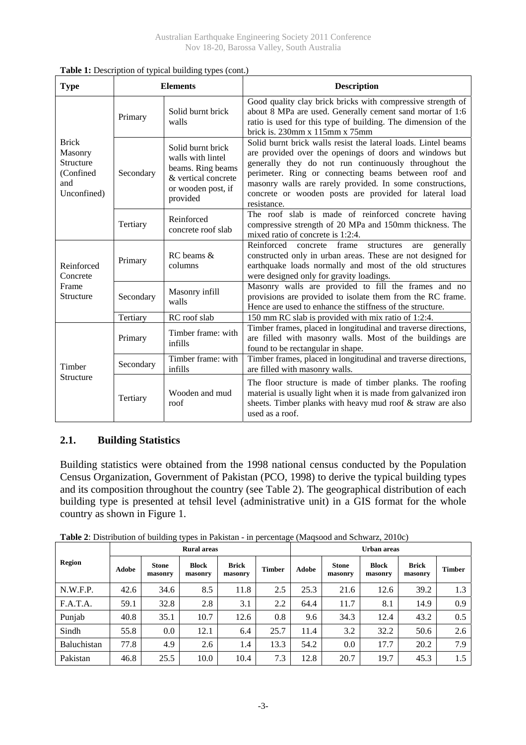| <b>Type</b>                                                             |                                            | <b>Elements</b>                                                                                                      | <b>Description</b>                                                                                                                                                                                                                                                                                                                                                               |  |  |  |  |
|-------------------------------------------------------------------------|--------------------------------------------|----------------------------------------------------------------------------------------------------------------------|----------------------------------------------------------------------------------------------------------------------------------------------------------------------------------------------------------------------------------------------------------------------------------------------------------------------------------------------------------------------------------|--|--|--|--|
| <b>Brick</b><br>Masonry<br>Structure<br>(Confined<br>and<br>Unconfined) | Primary                                    | Solid burnt brick<br>walls                                                                                           | Good quality clay brick bricks with compressive strength of<br>about 8 MPa are used. Generally cement sand mortar of 1:6<br>ratio is used for this type of building. The dimension of the<br>brick is. $230$ mm x $115$ mm x $75$ mm                                                                                                                                             |  |  |  |  |
|                                                                         | Secondary                                  | Solid burnt brick<br>walls with lintel<br>beams. Ring beams<br>& vertical concrete<br>or wooden post, if<br>provided | Solid burnt brick walls resist the lateral loads. Lintel beams<br>are provided over the openings of doors and windows but<br>generally they do not run continuously throughout the<br>perimeter. Ring or connecting beams between roof and<br>masonry walls are rarely provided. In some constructions,<br>concrete or wooden posts are provided for lateral load<br>resistance. |  |  |  |  |
|                                                                         | Tertiary                                   | Reinforced<br>concrete roof slab                                                                                     | The roof slab is made of reinforced concrete having<br>compressive strength of 20 MPa and 150mm thickness. The<br>mixed ratio of concrete is 1:2:4.                                                                                                                                                                                                                              |  |  |  |  |
| Reinforced<br>Concrete                                                  | Primary                                    | $RC$ beams $&$<br>columns                                                                                            | Reinforced concrete frame<br>generally<br>structures<br>are<br>constructed only in urban areas. These are not designed for<br>earthquake loads normally and most of the old structures<br>were designed only for gravity loadings.                                                                                                                                               |  |  |  |  |
| Frame<br>Structure                                                      | Secondary                                  | Masonry infill<br>walls                                                                                              | Masonry walls are provided to fill the frames and no<br>provisions are provided to isolate them from the RC frame.<br>Hence are used to enhance the stiffness of the structure.                                                                                                                                                                                                  |  |  |  |  |
|                                                                         | Tertiary                                   | RC roof slab                                                                                                         | 150 mm RC slab is provided with mix ratio of 1:2:4.                                                                                                                                                                                                                                                                                                                              |  |  |  |  |
|                                                                         | Primary                                    | Timber frame: with<br>infills                                                                                        | Timber frames, placed in longitudinal and traverse directions,<br>are filled with masonry walls. Most of the buildings are<br>found to be rectangular in shape.                                                                                                                                                                                                                  |  |  |  |  |
| Timber                                                                  | Timber frame: with<br>Secondary<br>infills |                                                                                                                      | Timber frames, placed in longitudinal and traverse directions,<br>are filled with masonry walls.                                                                                                                                                                                                                                                                                 |  |  |  |  |
| Structure                                                               | Tertiary                                   | Wooden and mud<br>roof                                                                                               | The floor structure is made of timber planks. The roofing<br>material is usually light when it is made from galvanized iron<br>sheets. Timber planks with heavy mud roof & straw are also<br>used as a roof.                                                                                                                                                                     |  |  |  |  |

Table 1: Description of typical building types (cont.)

### **2.1. Building Statistics**

Building statistics were obtained from the 1998 national census conducted by the Population Census Organization, Government of Pakistan (PCO, 1998) to derive the typical building types and its composition throughout the country (see Table 2). The geographical distribution of each building type is presented at tehsil level (administrative unit) in a GIS format for the whole country as shown in Figure 1.

|             |       |                         | <b>Rural</b> areas      |                         |               | Urban areas |                         |                         |                         |               |  |
|-------------|-------|-------------------------|-------------------------|-------------------------|---------------|-------------|-------------------------|-------------------------|-------------------------|---------------|--|
| Region      | Adobe | <b>Stone</b><br>masonry | <b>Block</b><br>masonry | <b>Brick</b><br>masonry | <b>Timber</b> | Adobe       | <b>Stone</b><br>masonry | <b>Block</b><br>masonry | <b>Brick</b><br>masonry | <b>Timber</b> |  |
| N.W.F.P.    | 42.6  | 34.6                    | 8.5                     | 11.8                    | 2.5           | 25.3        | 21.6                    | 12.6                    | 39.2                    | 1.3           |  |
| F.A.T.A.    | 59.1  | 32.8                    | 2.8                     | 3.1                     | 2.2           | 64.4        | 11.7                    | 8.1                     | 14.9                    | 0.9           |  |
| Punjab      | 40.8  | 35.1                    | 10.7                    | 12.6                    | 0.8           | 9.6         | 34.3                    | 12.4                    | 43.2                    | 0.5           |  |
| Sindh       | 55.8  | 0.0                     | 12.1                    | 6.4                     | 25.7          | 11.4        | 3.2                     | 32.2                    | 50.6                    | 2.6           |  |
| Baluchistan | 77.8  | 4.9                     | 2.6                     | 1.4                     | 13.3          | 54.2        | 0.0                     | 17.7                    | 20.2                    | 7.9           |  |
| Pakistan    | 46.8  | 25.5                    | 10.0                    | 10.4                    | 7.3           | 12.8        | 20.7                    | 19.7                    | 45.3                    | 1.5           |  |

**Table 2**: Distribution of building types in Pakistan - in percentage (Maqsood and Schwarz, 2010c)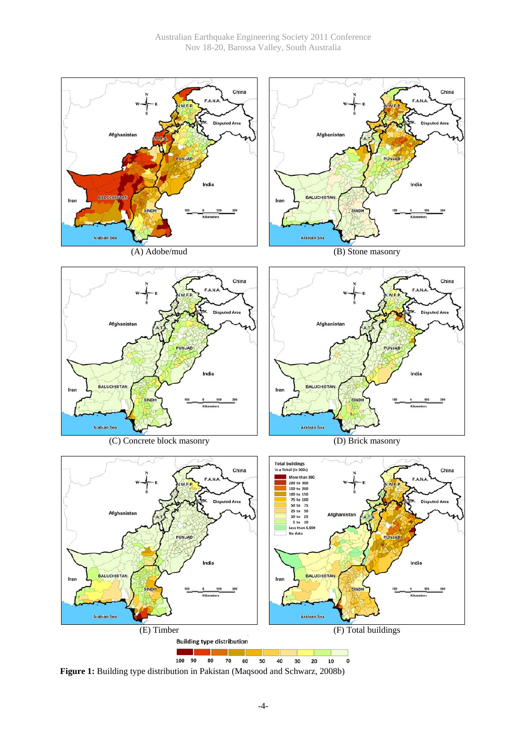

**Figure 1:** Building type distribution in Pakistan (Maqsood and Schwarz, 2008b)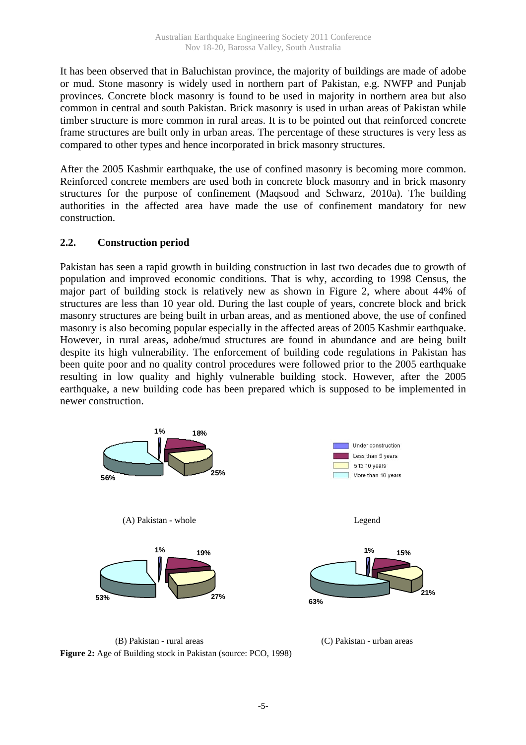It has been observed that in Baluchistan province, the majority of buildings are made of adobe or mud. Stone masonry is widely used in northern part of Pakistan, e.g. NWFP and Punjab provinces. Concrete block masonry is found to be used in majority in northern area but also common in central and south Pakistan. Brick masonry is used in urban areas of Pakistan while timber structure is more common in rural areas. It is to be pointed out that reinforced concrete frame structures are built only in urban areas. The percentage of these structures is very less as compared to other types and hence incorporated in brick masonry structures.

After the 2005 Kashmir earthquake, the use of confined masonry is becoming more common. Reinforced concrete members are used both in concrete block masonry and in brick masonry structures for the purpose of confinement (Maqsood and Schwarz, 2010a). The building authorities in the affected area have made the use of confinement mandatory for new construction.

#### **2.2. Construction period**

Pakistan has seen a rapid growth in building construction in last two decades due to growth of population and improved economic conditions. That is why, according to 1998 Census, the major part of building stock is relatively new as shown in Figure 2, where about 44% of structures are less than 10 year old. During the last couple of years, concrete block and brick masonry structures are being built in urban areas, and as mentioned above, the use of confined masonry is also becoming popular especially in the affected areas of 2005 Kashmir earthquake. However, in rural areas, adobe/mud structures are found in abundance and are being built despite its high vulnerability. The enforcement of building code regulations in Pakistan has been quite poor and no quality control procedures were followed prior to the 2005 earthquake resulting in low quality and highly vulnerable building stock. However, after the 2005 earthquake, a new building code has been prepared which is supposed to be implemented in newer construction.



(B) Pakistan - rural areas (C) Pakistan - urban areas **Figure 2:** Age of Building stock in Pakistan (source: PCO, 1998)

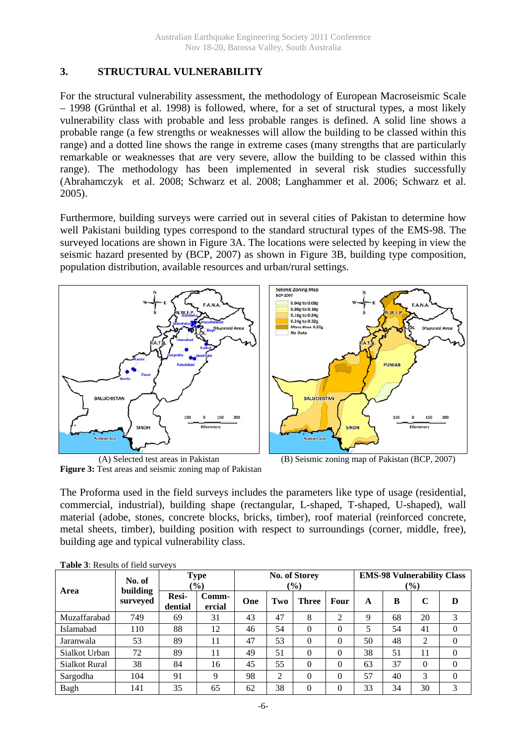#### **3. STRUCTURAL VULNERABILITY**

For the structural vulnerability assessment, the methodology of European Macroseismic Scale – 1998 (Grünthal et al. 1998) is followed, where, for a set of structural types, a most likely vulnerability class with probable and less probable ranges is defined. A solid line shows a probable range (a few strengths or weaknesses will allow the building to be classed within this range) and a dotted line shows the range in extreme cases (many strengths that are particularly remarkable or weaknesses that are very severe, allow the building to be classed within this range). The methodology has been implemented in several risk studies successfully (Abrahamczyk et al. 2008; Schwarz et al. 2008; Langhammer et al. 2006; Schwarz et al. 2005).

Furthermore, building surveys were carried out in several cities of Pakistan to determine how well Pakistani building types correspond to the standard structural types of the EMS-98. The surveyed locations are shown in Figure 3A. The locations were selected by keeping in view the seismic hazard presented by (BCP, 2007) as shown in Figure 3B, building type composition, population distribution, available resources and urban/rural settings.





**Figure 3:** Test areas and seismic zoning map of Pakistan

(A) Selected test areas in Pakistan (B) Seismic zoning map of Pakistan (BCP, 2007)

The Proforma used in the field surveys includes the parameters like type of usage (residential, commercial, industrial), building shape (rectangular, L-shaped, T-shaped, U-shaped), wall material (adobe, stones, concrete blocks, bricks, timber), roof material (reinforced concrete, metal sheets, timber), building position with respect to surroundings (corner, middle, free), building age and typical vulnerability class.

| <b>THOIC</b> 5. INCREASED OF TICKE BUT TO THE |                             |                                  |                 |                                |     |              |      |                                                    |    |          |          |
|-----------------------------------------------|-----------------------------|----------------------------------|-----------------|--------------------------------|-----|--------------|------|----------------------------------------------------|----|----------|----------|
| Area                                          | No. of                      | <b>Type</b><br>$\frac{1}{2}$ (0) |                 | No. of Storey<br>$\frac{6}{2}$ |     |              |      | <b>EMS-98 Vulnerability Class</b><br>$\frac{6}{6}$ |    |          |          |
|                                               | <b>building</b><br>surveyed | Resi-<br>dential                 | Comm-<br>ercial | One                            | Two | <b>Three</b> | Four | A                                                  | B  | C        | D        |
| Muzaffarabad                                  | 749                         | 69                               | 31              | 43                             | 47  | 8            | 2    | 9                                                  | 68 | 20       | 3        |
| Islamabad                                     | 110                         | 88                               | 12              | 46                             | 54  | $\Omega$     | 0    | 5                                                  | 54 | 41       | $\Omega$ |
| Jaranwala                                     | 53                          | 89                               | 11              | 47                             | 53  | $\Omega$     | 0    | 50                                                 | 48 | 2        | $\Omega$ |
| Sialkot Urban                                 | 72                          | 89                               | 11              | 49                             | 51  | $\Omega$     | 0    | 38                                                 | 51 | 11       | $\Omega$ |
| <b>Sialkot Rural</b>                          | 38                          | 84                               | 16              | 45                             | 55  | $\Omega$     | 0    | 63                                                 | 37 | $\Omega$ | 0        |
| Sargodha                                      | 104                         | 91                               | 9               | 98                             | 2   | $\theta$     | 0    | 57                                                 | 40 | 3        | $\Omega$ |
| Bagh                                          | 141                         | 35                               | 65              | 62                             | 38  | $\Omega$     | 0    | 33                                                 | 34 | 30       | 3        |

**Table 3**: Results of field surveys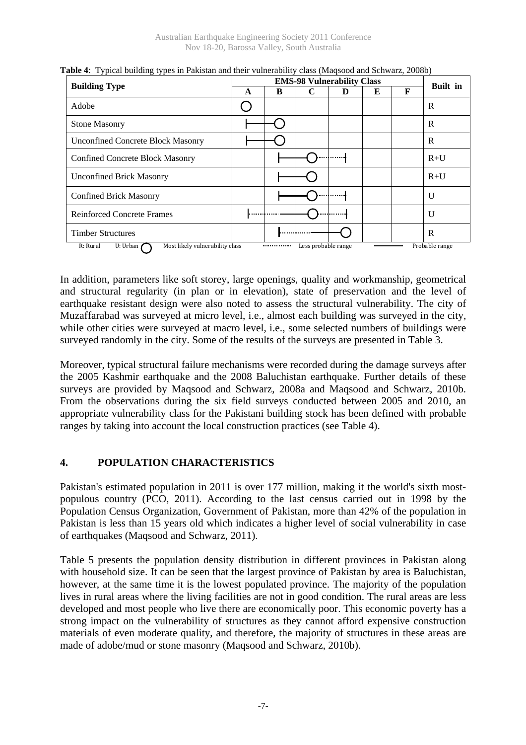|                                                                  |   | <b>Built</b> in |                     |   |   |   |                |
|------------------------------------------------------------------|---|-----------------|---------------------|---|---|---|----------------|
| <b>Building Type</b>                                             | A | B               | C                   | D | E | F |                |
| Adobe                                                            |   |                 |                     |   |   |   | R              |
| <b>Stone Masonry</b>                                             |   |                 |                     |   |   |   | R              |
| <b>Unconfined Concrete Block Masonry</b>                         |   |                 |                     |   |   |   | R              |
| <b>Confined Concrete Block Masonry</b>                           |   |                 |                     |   |   |   | $R+U$          |
| <b>Unconfined Brick Masonry</b>                                  |   |                 |                     |   |   |   | $R+U$          |
| <b>Confined Brick Masonry</b>                                    |   |                 |                     |   |   |   | $\mathbf{U}$   |
| <b>Reinforced Concrete Frames</b>                                | . |                 |                     |   |   |   | $\mathbf{U}$   |
| <b>Timber Structures</b>                                         |   | . 1             |                     |   |   |   | R              |
| R: Rural<br>U: Urban $\Gamma$<br>Most likely vulnerability class |   |                 | Less probable range |   |   |   | Probable range |

**Table 4**: Typical building types in Pakistan and their vulnerability class (Maqsood and Schwarz, 2008b)

In addition, parameters like soft storey, large openings, quality and workmanship, geometrical and structural regularity (in plan or in elevation), state of preservation and the level of earthquake resistant design were also noted to assess the structural vulnerability. The city of Muzaffarabad was surveyed at micro level, i.e., almost each building was surveyed in the city, while other cities were surveyed at macro level, i.e., some selected numbers of buildings were surveyed randomly in the city. Some of the results of the surveys are presented in Table 3.

Moreover, typical structural failure mechanisms were recorded during the damage surveys after the 2005 Kashmir earthquake and the 2008 Baluchistan earthquake. Further details of these surveys are provided by Maqsood and Schwarz, 2008a and Maqsood and Schwarz, 2010b. From the observations during the six field surveys conducted between 2005 and 2010, an appropriate vulnerability class for the Pakistani building stock has been defined with probable ranges by taking into account the local construction practices (see Table 4).

## **4. POPULATION CHARACTERISTICS**

Pakistan's estimated population in 2011 is over 177 million, making it the world's sixth mostpopulous country (PCO, 2011). According to the last census carried out in 1998 by the Population Census Organization, Government of Pakistan, more than 42% of the population in Pakistan is less than 15 years old which indicates a higher level of social vulnerability in case of earthquakes (Maqsood and Schwarz, 2011).

Table 5 presents the population density distribution in different provinces in Pakistan along with household size. It can be seen that the largest province of Pakistan by area is Baluchistan, however, at the same time it is the lowest populated province. The majority of the population lives in rural areas where the living facilities are not in good condition. The rural areas are less developed and most people who live there are economically poor. This economic poverty has a strong impact on the vulnerability of structures as they cannot afford expensive construction materials of even moderate quality, and therefore, the majority of structures in these areas are made of adobe/mud or stone masonry (Maqsood and Schwarz, 2010b).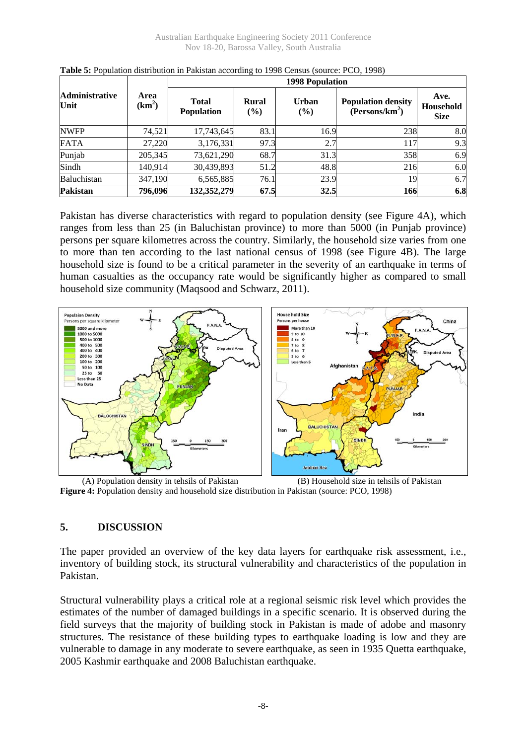|                               |                            | <b>1998 Population</b>            |                        |                        |                                                         |                                  |  |  |  |  |  |  |
|-------------------------------|----------------------------|-----------------------------------|------------------------|------------------------|---------------------------------------------------------|----------------------------------|--|--|--|--|--|--|
| <b>Administrative</b><br>Unit | Area<br>(km <sup>2</sup> ) | <b>Total</b><br><b>Population</b> | <b>Rural</b><br>$(\%)$ | <b>Urban</b><br>$(\%)$ | <b>Population density</b><br>(Persons/km <sup>2</sup> ) | Ave.<br>Household<br><b>Size</b> |  |  |  |  |  |  |
| <b>NWFP</b>                   | 74.521                     | 17,743,645                        | 83.1                   | 16.9                   | 238                                                     | 8.0                              |  |  |  |  |  |  |
| <b>FATA</b>                   | 27,220                     | 3,176,331                         | 97.3                   | 2.7                    | 117                                                     | 9.3                              |  |  |  |  |  |  |
| Punjab                        | 205,345                    | 73,621,290                        | 68.7                   | 31.3                   | 358                                                     | 6.9                              |  |  |  |  |  |  |
| Sindh                         | 140,914                    | 30,439,893                        | 51.2                   | 48.8                   | 216                                                     | 6.0                              |  |  |  |  |  |  |
| <b>Baluchistan</b>            | 347,190                    | 6,565,885                         | 76.1                   | 23.9                   | 19                                                      | 6.7                              |  |  |  |  |  |  |
| Pakistan                      | 796,096                    | 132,352,279                       | 67.5                   | 32.5                   | 166                                                     | 6.8                              |  |  |  |  |  |  |

**Table 5:** Population distribution in Pakistan according to 1998 Census (source: PCO, 1998)

Pakistan has diverse characteristics with regard to population density (see Figure 4A), which ranges from less than 25 (in Baluchistan province) to more than 5000 (in Punjab province) persons per square kilometres across the country. Similarly, the household size varies from one to more than ten according to the last national census of 1998 (see Figure 4B). The large household size is found to be a critical parameter in the severity of an earthquake in terms of human casualties as the occupancy rate would be significantly higher as compared to small household size community (Maqsood and Schwarz, 2011).



(A) Population density in tehsils of Pakistan (B) Household size in tehsils of Pakistan **Figure 4:** Population density and household size distribution in Pakistan (source: PCO, 1998)

#### **5. DISCUSSION**

The paper provided an overview of the key data layers for earthquake risk assessment, i.e., inventory of building stock, its structural vulnerability and characteristics of the population in Pakistan.

Structural vulnerability plays a critical role at a regional seismic risk level which provides the estimates of the number of damaged buildings in a specific scenario. It is observed during the field surveys that the majority of building stock in Pakistan is made of adobe and masonry structures. The resistance of these building types to earthquake loading is low and they are vulnerable to damage in any moderate to severe earthquake, as seen in 1935 Quetta earthquake, 2005 Kashmir earthquake and 2008 Baluchistan earthquake.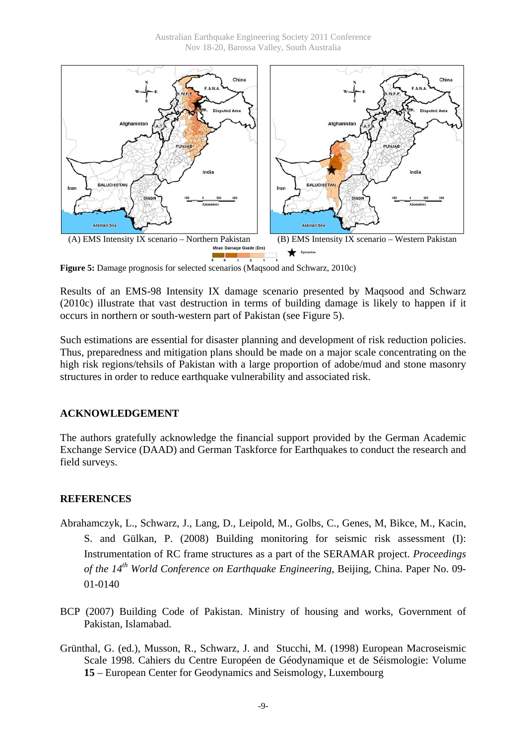

**Figure 5:** Damage prognosis for selected scenarios (Maqsood and Schwarz, 2010c)

Results of an EMS-98 Intensity IX damage scenario presented by Maqsood and Schwarz (2010c) illustrate that vast destruction in terms of building damage is likely to happen if it occurs in northern or south-western part of Pakistan (see Figure 5).

Such estimations are essential for disaster planning and development of risk reduction policies. Thus, preparedness and mitigation plans should be made on a major scale concentrating on the high risk regions/tehsils of Pakistan with a large proportion of adobe/mud and stone masonry structures in order to reduce earthquake vulnerability and associated risk.

#### **ACKNOWLEDGEMENT**

The authors gratefully acknowledge the financial support provided by the German Academic Exchange Service (DAAD) and German Taskforce for Earthquakes to conduct the research and field surveys.

#### **REFERENCES**

- Abrahamczyk, L., Schwarz, J., Lang, D., Leipold, M., Golbs, C., Genes, M, Bikce, M., Kacin, S. and Gülkan, P. (2008) Building monitoring for seismic risk assessment (I): Instrumentation of RC frame structures as a part of the SERAMAR project. *Proceedings of the 14<sup>th</sup>* World Conference on Earthquake Engineering, Beijing, China. Paper No. 09-01-0140
- BCP (2007) Building Code of Pakistan. Ministry of housing and works, Government of Pakistan, Islamabad.
- Grünthal, G. (ed.), Musson, R., Schwarz, J. and Stucchi, M. (1998) European Macroseismic Scale 1998. Cahiers du Centre Européen de Géodynamique et de Séismologie: Volume **15** – European Center for Geodynamics and Seismology, Luxembourg